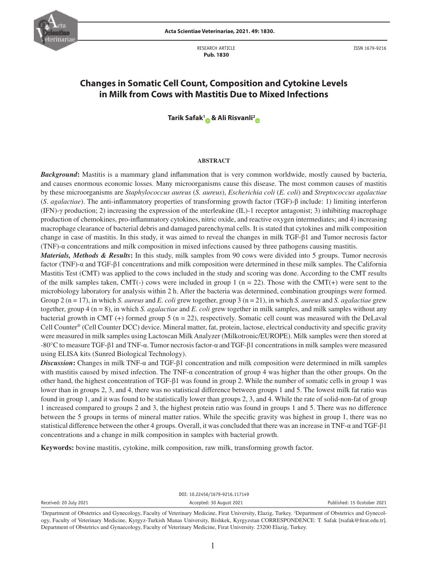

RESEARCH ARTICLE  **Pub. 1830**

ISSN 1679-9216

# **Changes in Somatic Cell Count, Composition and Cytokine Levels in Milk from Cows with Mastitis Due to Mixed Infections**

**Tarik Safak[1](https://orcid.org/0000-0002-6178-4641) & Ali Risvanli[2](https://orcid.org/0000-0001-5653-0025)**

#### **ABSTRACT**

*Background***:** Mastitis is a mammary gland inflammation that is very common worldwide, mostly caused by bacteria, and causes enormous economic losses. Many microorganisms cause this disease. The most common causes of mastitis by these microorganisms are *Staphylococcus aureus* (*S. aureus*), *Escherichia coli* (*E. coli*) and *Streptococcus agalactiae* (*S*. *agalactiae*). The anti-inflammatory properties of transforming growth factor (TGF)-β include: 1) limiting interferon (IFN)-γ production; 2) increasing the expression of the ınterleukine (IL)-1 receptor antagonist; 3) inhibiting macrophage production of chemokines, pro-inflammatory cytokines, nitric oxide, and reactive oxygen intermediates; and 4) increasing macrophage clearance of bacterial debris and damaged parenchymal cells. It is stated that cytokines and milk composition change in case of mastitis. In this study, it was aimed to reveal the changes in milk TGF-β1 and Tumor necrosis factor (TNF)-α concentrations and milk composition in mixed infections caused by three pathogens causing mastitis.

*Materials, Methods & Results***:** In this study, milk samples from 90 cows were divided into 5 groups. Tumor necrosis factor (TNF)-α and TGF-β1 concentrations and milk composition were determined in these milk samples. The California Mastitis Test (CMT) was applied to the cows included in the study and scoring was done. According to the CMT results of the milk samples taken,  $CMT(-)$  cows were included in group 1 (n = 22). Those with the  $CMT(+)$  were sent to the microbiology laboratory for analysis within 2 h. After the bacteria was determined, combination groupings were formed. Group 2 (n = 17), in which *S. aureus* and *E. coli* grew together, group 3 (n = 21), in which *S. aureus* and *S. agalactiae* grew together, group 4 (n = 8), in which *S. agalactiae* and *E. coli* grew together in milk samples, and milk samples without any bacterial growth in CMT (+) formed group 5 (n = 22), respectively. Somatic cell count was measured with the DeLaval Cell Counter® (Cell Counter DCC) device. Mineral matter, fat, protein, lactose, electrical conductivity and specific gravity were measured in milk samples using Lactoscan Milk Analyzer (Milkotronic/EUROPE). Milk samples were then stored at -80°C to measure TGF-β1 and TNF-α. Tumor necrosis factor-α and TGF-β1 concentrations in milk samples were measured using ELISA kits (Sunred Biological Technology).

*Discussion***:** Changes in milk TNF-α and TGF-β1 concentration and milk composition were determined in milk samples with mastitis caused by mixed infection. The TNF- $\alpha$  concentration of group 4 was higher than the other groups. On the other hand, the highest concentration of TGF-β1 was found in group 2. While the number of somatic cells in group 1 was lower than in groups 2, 3, and 4, there was no statistical difference between groups 1 and 5. The lowest milk fat ratio was found in group 1, and it was found to be statistically lower than groups 2, 3, and 4. While the rate of solid-non-fat of group 1 increased compared to groups 2 and 3, the highest protein ratio was found in groups 1 and 5. There was no difference between the 5 groups in terms of mineral matter ratios. While the specific gravity was highest in group 1, there was no statistical difference between the other 4 groups. Overall, it was concluded that there was an increase in TNF-α and TGF-β1 concentrations and a change in milk composition in samples with bacterial growth.

**Keywords:** bovine mastitis, cytokine, milk composition, raw milk, transforming growth factor.

|                        |  | DOI: 10.22456/1679-9216.117149 |  |  |  |  |  |                             |  |  |  |  |  |  |
|------------------------|--|--------------------------------|--|--|--|--|--|-----------------------------|--|--|--|--|--|--|
| Received: 20 July 2021 |  | Accepted: 30 August 2021       |  |  |  |  |  | Published: 15 Ocotober 2021 |  |  |  |  |  |  |
| ___                    |  |                                |  |  |  |  |  |                             |  |  |  |  |  |  |

<sup>&</sup>lt;sup>1</sup>Department of Obstetrics and Gynecology, Faculty of Veterinary Medicine, Firat University, Elazig, Turkey. <sup>2</sup>Department of Obstetrics and Gynecology, Faculty of Veterinary Medicine, Kyrgyz-Turkish Manas University, Bishkek, Kyrgyzstan CORRESPONDENCE: T. Safak [tsafak@firat.edu.tr]. Department of Obstetrics and Gynaecology, Faculty of Veterinary Medicine, Firat University. 23200 Elazig, Turkey.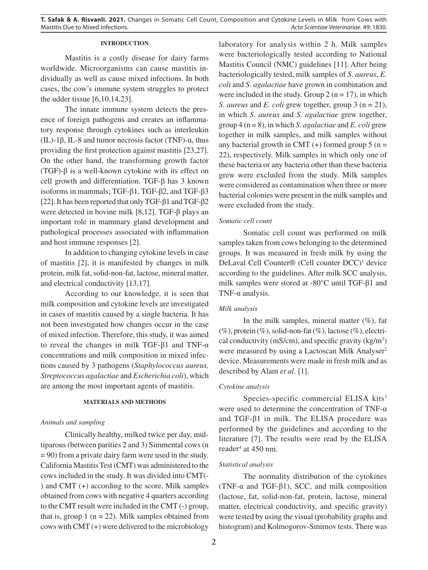# **INTRODUCTION**

Mastitis is a costly disease for dairy farms worldwide. Microorganisms can cause mastitis individually as well as cause mixed infections. In both cases, the cow's immune system struggles to protect the udder tissue [6,10,14,23].

The innate immune system detects the presence of foreign pathogens and creates an inflammatory response through cytokines such as interleukin (IL)-1β, IL-8 and tumor necrosis factor (TNF)-α, thus providing the first protection against mastitis [23,27]. On the other hand, the transforming growth factor (TGF)-β is a well-known cytokine with its effect on cell growth and differentiation. TGF-β has 3 known isoforms in mammals; TGF-β1, TGF-β2, and TGF-β3 [22]. It has been reported that only TGF-β1 and TGF-β2 were detected in bovine milk [8,12]. TGF-β plays an important role in mammary gland development and pathological processes associated with inflammation and host immune responses [2].

In addition to changing cytokine levels in case of mastitis [2], it is manifested by changes in milk protein, milk fat, solid-non-fat, lactose, mineral matter, and electrical conductivity [13,17].

According to our knowledge, it is seen that milk composition and cytokine levels are investigated in cases of mastitis caused by a single bacteria. It has not been investigated how changes occur in the case of mixed infection. Therefore, this study, it was aimed to reveal the changes in milk TGF-β1 and TNF-α concentrations and milk composition in mixed infections caused by 3 pathogens (*Staphylococcus aureus, Streptococcus agalactiae* and *Escherichia coli*), which are among the most important agents of mastitis.

# **MATERIALS AND METHODS**

# *Animals and sampling*

Clinically healthy, milked twice per day, multiparous (between parities 2 and 3) Simmental cows (n = 90) from a private dairy farm were used in the study. California Mastitis Test (CMT) was administered to the cows included in the study. It was divided into CMT(- ) and CMT (+) according to the score. Milk samples obtained from cows with negative 4 quarters according to the CMT result were included in the CMT (-) group, that is, group 1 ( $n = 22$ ). Milk samples obtained from cows with CMT (+) were delivered to the microbiology laboratory for analysis within 2 h. Milk samples were bacteriologically tested according to National Mastitis Council (NMC) guidelines [11]. After being bacteriologically tested, milk samples of *S*. *aureus*, *E*. *coli* and *S*. *agalactiae* have grown in combination and were included in the study. Group 2 ( $n = 17$ ), in which *S*. *aureus* and *E*. *coli* grew together, group 3 (n = 21), in which *S*. *aureus* and *S*. *agalactiae* grew together, group 4 (n = 8), in which *S*. *agalactiae* and *E*. *coli* grew together in milk samples, and milk samples without any bacterial growth in CMT  $(+)$  formed group 5 (n = 22), respectively. Milk samples in which only one of these bacteria or any bacteria other than these bacteria grew were excluded from the study. Milk samples were considered as contamination when three or more bacterial colonies were present in the milk samples and were excluded from the study.

# *Somatic cell count*

Somatic cell count was performed on milk samples taken from cows belonging to the determined groups. It was measured in fresh milk by using the DeLaval Cell Counter® (Cell counter DCC)<sup>1</sup> device according to the guidelines. After milk SCC analysis, milk samples were stored at -80°C until TGF-β1 and TNF- $\alpha$  analysis.

#### *Milk analysis*

In the milk samples, mineral matter  $(\%)$ , fat  $(\%)$ , protein  $(\%)$ , solid-non-fat  $(\%)$ , lactose  $(\%)$ , electrical conductivity (mS/cm), and specific gravity  $(kg/m<sup>3</sup>)$ were measured by using a Lactoscan Milk Analyser<sup>2</sup> device. Measurements were made in fresh milk and as described by Alam *et al*. [1].

## *Cytokine analysis*

Species-specific commercial ELISA kits<sup>3</sup> were used to determine the concentration of TNF-α and TGF-β1 in milk. The ELISA procedure was performed by the guidelines and according to the literature [7]. The results were read by the ELISA reader<sup>4</sup> at 450 nm.

# *Statistical analysis*

The normality distribution of the cytokines (TNF- $\alpha$  and TGF- $\beta$ 1), SCC, and milk composition (lactose, fat, solid-non-fat, protein, lactose, mineral matter, electrical conductivity, and specific gravity) were tested by using the visual (probability graphs and histogram) and Kolmogorov-Smirnov tests. There was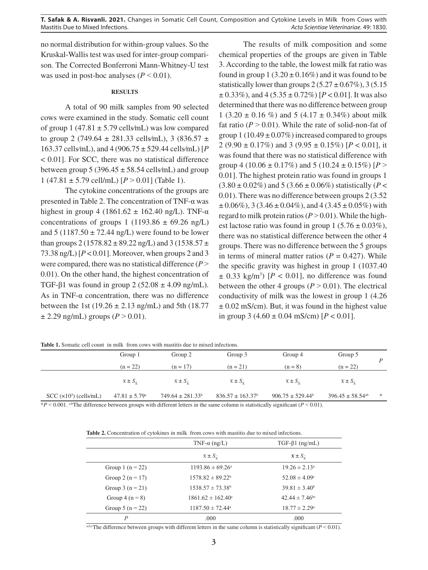no normal distribution for within-group values. So the Kruskal-Wallis test was used for inter-group comparison. The Corrected Bonferroni Mann-Whitney-U test was used in post-hoc analyses  $(P < 0.01)$ .

#### **RESULTS**

A total of 90 milk samples from 90 selected cows were examined in the study. Somatic cell count of group 1 (47.81  $\pm$  5.79 cells/mL) was low compared to group 2 (749.64  $\pm$  281.33 cells/mL), 3 (836.57  $\pm$ 163.37 cells⁄mL), and 4 (906.75 ± 529.44 cells⁄mL) [*P* < 0.01]. For SCC, there was no statistical difference between group 5 (396.45  $\pm$  58.54 cells/mL) and group 1 (47.81  $\pm$  5.79 cell/mL) [ $P > 0.01$ ] (Table 1).

The cytokine concentrations of the groups are presented in Table 2. The concentration of TNF-α was highest in group 4 (1861.62  $\pm$  162.40 ng/L). TNF- $\alpha$ concentrations of groups 1 (1193.86  $\pm$  69.26 ng/L) and  $5(1187.50 \pm 72.44$  ng/L) were found to be lower than groups 2 (1578.82  $\pm$  89.22 ng/L) and 3 (1538.57  $\pm$ 73.38 ng/L)  $[P < 0.01]$ . Moreover, when groups 2 and 3 were compared, there was no statistical difference  $(P >$ 0.01). On the other hand, the highest concentration of TGF- $\beta$ 1 was found in group 2 (52.08  $\pm$  4.09 ng/mL). As in TNF- $\alpha$  concentration, there was no difference between the 1st (19.26  $\pm$  2.13 ng/mL) and 5th (18.77  $\pm$  2.29 ng/mL) groups (*P* > 0.01).

The results of milk composition and some chemical properties of the groups are given in Table 3. According to the table, the lowest milk fat ratio was found in group  $1(3.20 \pm 0.16\%)$  and it was found to be statistically lower than groups  $2(5.27 \pm 0.67\%)$ , 3(5.15)  $\pm$  0.33%), and 4 (5.35  $\pm$  0.72%) [*P* < 0.01]. It was also determined that there was no difference between group 1 (3.20  $\pm$  0.16 %) and 5 (4.17  $\pm$  0.34%) about milk fat ratio ( $P > 0.01$ ). While the rate of solid-non-fat of group  $1(10.49 \pm 0.07\%)$  increased compared to groups 2 (9.90 ± 0.17%) and 3 (9.95 ± 0.15%) [*P* < 0.01], it was found that there was no statistical difference with group 4 (10.06  $\pm$  0.17%) and 5 (10.24  $\pm$  0.15%) [*P* > 0.01]. The highest protein ratio was found in groups 1  $(3.80 \pm 0.02\%)$  and  $5(3.66 \pm 0.06\%)$  statistically (*P* < 0.01). There was no difference between groups 2 (3.52  $\pm 0.06\%$ ), 3 (3.46  $\pm 0.04\%$ ), and 4 (3.45  $\pm 0.05\%$ ) with regard to milk protein ratios  $(P > 0.01)$ . While the highest lactose ratio was found in group 1 ( $5.76 \pm 0.03\%$ ), there was no statistical difference between the other 4 groups. There was no difference between the 5 groups in terms of mineral matter ratios  $(P = 0.427)$ . While the specific gravity was highest in group 1 (1037.40  $\pm$  0.33 kg/m<sup>3</sup>) [ $P < 0.01$ ], no difference was found between the other 4 groups  $(P > 0.01)$ . The electrical conductivity of milk was the lowest in group 1 (4.26  $\pm$  0.02 mS/cm). But, it was found in the highest value in group 3 (4.60  $\pm$  0.04 mS/cm) [ $P < 0.01$ ].

| <b>Table 1.</b> Somatic cell count in milk from cows with mastitis due to mixed infections. |                                     |                                     |                                     |                                     |                                     |     |
|---------------------------------------------------------------------------------------------|-------------------------------------|-------------------------------------|-------------------------------------|-------------------------------------|-------------------------------------|-----|
|                                                                                             | Group 1                             | Group 2                             | Group 3                             | Group 4                             | Group 5                             |     |
|                                                                                             | $(n = 22)$                          | $(n = 17)$                          | $(n = 21)$                          | $(n = 8)$                           | $(n = 22)$                          |     |
|                                                                                             | $\overline{x} \pm S_{\overline{y}}$ | $\overline{x} \pm S_{\overline{y}}$ | $\overline{x} \pm S_{\overline{y}}$ | $\overline{x} \pm S_{\overline{y}}$ | $\overline{x} \pm S_{\overline{y}}$ |     |
| $SCC (x103)$ (cells/mL)                                                                     | $47.81 \pm 5.79$ <sup>a</sup>       | $749.64 \pm 281.33^b$               | $836.57 \pm 163.37$ <sup>b</sup>    | $906.75 \pm 529.44^b$               | $396.45 \pm 58.54$ <sup>ab</sup>    | $*$ |

**Table 1.** Somatic cell count in milk from cows with mastitis due to mixed infections.

\**P* ˂ 0.001. a,bThe difference between groups with different letters in the same column is statistically significant (*P* ˂ 0.01).

**Table 2.** Concentration of cytokines in milk from cows with mastitis due to mixed infections.

|                      | TNF- $\alpha$ (ng/L)                | $TGF-\beta1 (ng/mL)$                                  |  |  |
|----------------------|-------------------------------------|-------------------------------------------------------|--|--|
|                      | $\overline{x} \pm S_{\overline{y}}$ | $\overline{\mathbf{x}} \pm S_{\overline{\mathbf{x}}}$ |  |  |
| Group 1 $(n = 22)$   | $1193.86 \pm 69.26^{\circ}$         | $19.26 \pm 2.13^{\circ}$                              |  |  |
| Group 2 ( $n = 17$ ) | $1578.82 \pm 89.22^b$               | $52.08 \pm 4.09$ <sup>c</sup>                         |  |  |
| Group $3(n = 21)$    | $1538.57 \pm 73.38^{\circ}$         | $39.81 \pm 3.40^b$                                    |  |  |
| Group $4(n = 8)$     | $1861.62 \pm 162.40^{\circ}$        | $42.44 \pm 7.46^{\circ}$                              |  |  |
| Group 5 ( $n = 22$ ) | $1187.50 \pm 72.44^{\circ}$         | $18.77 \pm 2.29^{\circ}$                              |  |  |
| P                    | .000                                | .000                                                  |  |  |

a,b,cThe difference between groups with different letters in the same column is statistically significant ( $P < 0.01$ ).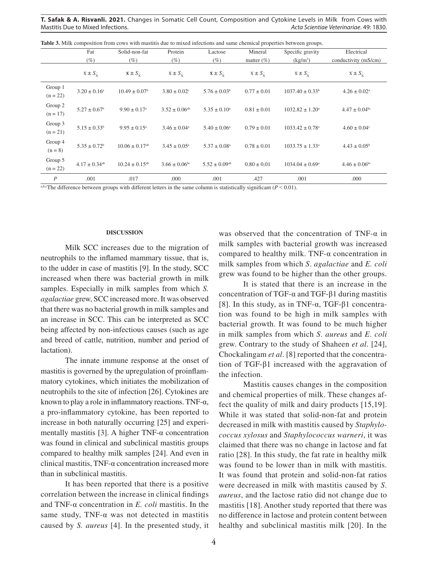|                       | Fat                                 | Solid-non-fat                     | Protein                             | Lactose                                               | Mineral                             | Specific gravity                    | Electrical                          |
|-----------------------|-------------------------------------|-----------------------------------|-------------------------------------|-------------------------------------------------------|-------------------------------------|-------------------------------------|-------------------------------------|
|                       | $(\%)$                              | (%)                               | $(\%)$                              | $(\%)$                                                | matter $(\%)$                       | $(kg/m^3)$                          | conductivity (mS/cm)                |
|                       | $\overline{x} \pm S_{\overline{y}}$ | $\mathbf{x} \pm S_{\overline{v}}$ | $\overline{x} \pm S_{\overline{y}}$ | $\overline{\mathbf{x}} \pm S_{\overline{\mathbf{x}}}$ | $\overline{x} \pm S_{\overline{y}}$ | $\overline{x} \pm S_{\overline{y}}$ | $\overline{x} \pm S_{\overline{x}}$ |
| Group 1<br>$(n = 22)$ | $3.20 \pm 0.16^a$                   | $10.49 \pm 0.07^{\circ}$          | $3.80 \pm 0.02$ <sup>c</sup>        | $5.76 \pm 0.03^b$                                     | $0.77 \pm 0.01$                     | $1037.40 \pm 0.33^b$                | $4.26 \pm 0.02^{\text{a}}$          |
| Group 2<br>$(n = 17)$ | $5.27 \pm 0.67$ <sup>b</sup>        | $9.90 \pm 0.17$ <sup>a</sup>      | $3.52 \pm 0.06$ <sup>ab</sup>       | $5.35 \pm 0.10^a$                                     | $0.81 \pm 0.01$                     | $1032.82 \pm 1.20^a$                | $4.47 \pm 0.04^{\rm bc}$            |
| Group 3<br>$(n = 21)$ | $5.15 \pm 0.33^b$                   | $9.95 \pm 0.15^{\circ}$           | $3.46 \pm 0.04^{\circ}$             | $5.40 \pm 0.06^{\circ}$                               | $0.79 \pm 0.01$                     | $1033.42 \pm 0.78$ <sup>a</sup>     | $4.60 \pm 0.04$ °                   |
| Group 4<br>$(n = 8)$  | $5.35 \pm 0.72$ <sup>b</sup>        | $10.06 \pm 0.17$ <sup>ab</sup>    | $3.45 \pm 0.05^{\circ}$             | $5.37 \pm 0.08^{\circ}$                               | $0.78 \pm 0.01$                     | $1033.75 \pm 1.33^{\circ}$          | $4.43 \pm 0.05^{\rm b}$             |
| Group 5<br>$(n = 22)$ | $4.17 \pm 0.34$ <sup>ab</sup>       | $10.24 \pm 0.15^{ab}$             | $3.66 \pm 0.06$ <sup>bc</sup>       | $5.52 \pm 0.09$ <sup>ab</sup>                         | $0.80 \pm 0.01$                     | $1034.04 \pm 0.69^{\circ}$          | $4.46 \pm 0.06^{\rm bc}$            |
| $\boldsymbol{P}$      | .001                                | .017                              | .000                                | .001                                                  | .427                                | .001                                | .000                                |

**Table 3.** Milk composition from cows with mastitis due to mixed infections and same chemical properties between groups.

a,b,cThe difference between groups with different letters in the same column is statistically significant ( $P < 0.01$ ).

#### **DISCUSSION**

Milk SCC increases due to the migration of neutrophils to the inflamed mammary tissue, that is, to the udder in case of mastitis [9]. In the study, SCC increased when there was bacterial growth in milk samples. Especially in milk samples from which *S. agalactiae* grew, SCC increased more. It was observed that there was no bacterial growth in milk samples and an increase in SCC. This can be interpreted as SCC being affected by non-infectious causes (such as age and breed of cattle, nutrition, number and period of lactation).

The innate immune response at the onset of mastitis is governed by the upregulation of proinflammatory cytokines, which initiates the mobilization of neutrophils to the site of infection [26]. Cytokines are known to play a role in inflammatory reactions. TNF-α, a pro-inflammatory cytokine, has been reported to increase in both naturally occurring [25] and experimentally mastitis [3]. A higher  $TNF-\alpha$  concentration was found in clinical and subclinical mastitis groups compared to healthy milk samples [24]. And even in clinical mastitis, TNF-α concentration increased more than in subclinical mastitis.

It has been reported that there is a positive correlation between the increase in clinical findings and TNF-α concentration in *E. coli* mastitis. In the same study, TNF- $\alpha$  was not detected in mastitis caused by *S. aureus* [4]. In the presented study, it was observed that the concentration of TNF- $\alpha$  in milk samples with bacterial growth was increased compared to healthy milk. TNF- $\alpha$  concentration in milk samples from which *S*. *agalactiae* and *E. coli*  grew was found to be higher than the other groups.

It is stated that there is an increase in the concentration of TGF-α and TGF-β1 during mastitis [8]. In this study, as in TNF- $\alpha$ , TGF- $\beta$ 1 concentration was found to be high in milk samples with bacterial growth. It was found to be much higher in milk samples from which *S*. *aureus* and *E*. *coli* grew. Contrary to the study of Shaheen *et al*. [24], Chockalingam *et al*. [8] reported that the concentration of TGF-β1 increased with the aggravation of the infection.

Mastitis causes changes in the composition and chemical properties of milk. These changes affect the quality of milk and dairy products [15,19]. While it was stated that solid-non-fat and protein decreased in milk with mastitis caused by *Staphylococcus xylosus* and *Staphylococcus warneri*, it was claimed that there was no change in lactose and fat ratio [28]. In this study, the fat rate in healthy milk was found to be lower than in milk with mastitis. It was found that protein and solid-non-fat ratios were decreased in milk with mastitis caused by *S*. *aureus*, and the lactose ratio did not change due to mastitis [18]. Another study reported that there was no difference in lactose and protein content between healthy and subclinical mastitis milk [20]. In the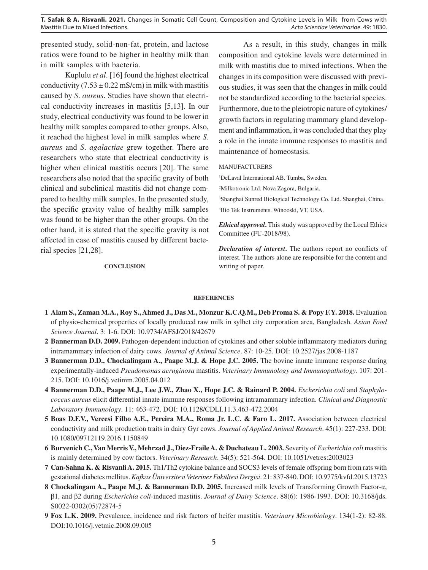presented study, solid-non-fat, protein, and lactose ratios were found to be higher in healthy milk than in milk samples with bacteria.

Kuplulu *et al*. [16] found the highest electrical conductivity  $(7.53 \pm 0.22 \text{ mS/cm})$  in milk with mastitis caused by *S*. *aureus*. Studies have shown that electrical conductivity increases in mastitis [5,13]. In our study, electrical conductivity was found to be lower in healthy milk samples compared to other groups. Also, it reached the highest level in milk samples where *S*. *aureus* and *S*. *agalactiae* grew together. There are researchers who state that electrical conductivity is higher when clinical mastitis occurs [20]. The same researchers also noted that the specific gravity of both clinical and subclinical mastitis did not change compared to healthy milk samples. In the presented study, the specific gravity value of healthy milk samples was found to be higher than the other groups. On the other hand, it is stated that the specific gravity is not affected in case of mastitis caused by different bacterial species [21,28].

### **CONCLUSION**

As a result, in this study, changes in milk composition and cytokine levels were determined in milk with mastitis due to mixed infections. When the changes in its composition were discussed with previous studies, it was seen that the changes in milk could not be standardized according to the bacterial species. Furthermore, due to the pleiotropic nature of cytokines/ growth factors in regulating mammary gland development and inflammation, it was concluded that they play a role in the innate immune responses to mastitis and maintenance of homeostasis.

#### MANUFACTURERS

1 DeLaval International AB. Tumba, Sweden.

2 Milkotronic Ltd. Nova Zagora, Bulgaria.

3 Shanghai Sunred Biological Technology Co. Ltd. Shanghai, China.

4 Bio Tek Instruments. Winooski, VT, USA.

*Ethical approval***.** This study was approved by the Local Ethics Committee (FU-2018/98).

*Declaration of interest***.** The authors report no conflicts of interest. The authors alone are responsible for the content and writing of paper.

#### **REFERENCES**

- **1 Alam S., Zaman M.A., Roy S., Ahmed J., Das M., Monzur K.C.Q.M., Deb Proma S. & Popy F.Y. 2018.** Evaluation of physio-chemical properties of locally produced raw milk in sylhet city corporation area, Bangladesh. *Asian Food Science Journal*. 3: 1-6. DOI: 10.9734/AFSJ/2018/42679
- **2 Bannerman D.D. 2009.** Pathogen-dependent induction of cytokines and other soluble inflammatory mediators during intramammary infection of dairy cows. *Journal of Animal Science*. 87: 10-25. DOI: 10.2527/jas.2008-1187
- **3 Bannerman D.D., Chockalingam A., Paape M.J. & Hope J.C. 2005.** The bovine innate immune response during experimentally-induced *Pseudomonas aeruginosa* mastitis. *Veterinary Immunology and Immunopathology*. 107: 201- 215. DOI: 10.1016/j.vetimm.2005.04.012
- **4 Bannerman D.D., Paape M.J., Lee J.W., Zhao X., Hope J.C. & Rainard P. 2004.** *Escherichia coli* and *Staphylococcus aureus* elicit differential innate immune responses following intramammary infection. *Clinical and Diagnostic Laboratory Immunology*. 11: 463-472. DOI: 10.1128/CDLI.11.3.463-472.2004
- **5 Boas D.F.V., Vercesi Filho A.E., Pereira M.A., Roma Jr. L.C. & Faro L. 2017.** Association between electrical conductivity and milk production traits in dairy Gyr cows. *Journal of Applied Animal Research*. 45(1): 227-233. DOI: 10.1080/09712119.2016.1150849
- **6 Burvenich C., Van Merris V., Mehrzad J., Diez-Fraile A. & Duchateau L. 2003.** Severity of *Escherichia coli* mastitis is mainly determined by cow factors. *Veterinary Research*. 34(5): 521-564. DOI: 10.1051/vetres:2003023
- **7 Can-Sahna K. & Risvanli A. 2015.** Th1/Th2 cytokine balance and SOCS3 levels of female offspring born from rats with gestational diabetes mellitus. *Kafkas Üniversitesi Veteriner Fakültesi Dergisi*. 21: 837-840. DOI: 10.9775/kvfd.2015.13723
- **8 Chockalingam A., Paape M.J. & Bannerman D.D. 2005.** Increased milk levels of Transforming Growth Factor-α, β1, and β2 during *Escherichia coli*-induced mastitis. *Journal of Dairy Science*. 88(6): 1986-1993. DOI: 10.3168/jds. S0022-0302(05)72874-5
- **9 Fox L.K. 2009.** Prevalence, incidence and risk factors of heifer mastitis. *Veterinary Microbiology*. 134(1-2): 82-88. DOI:10.1016/j.vetmic.2008.09.005